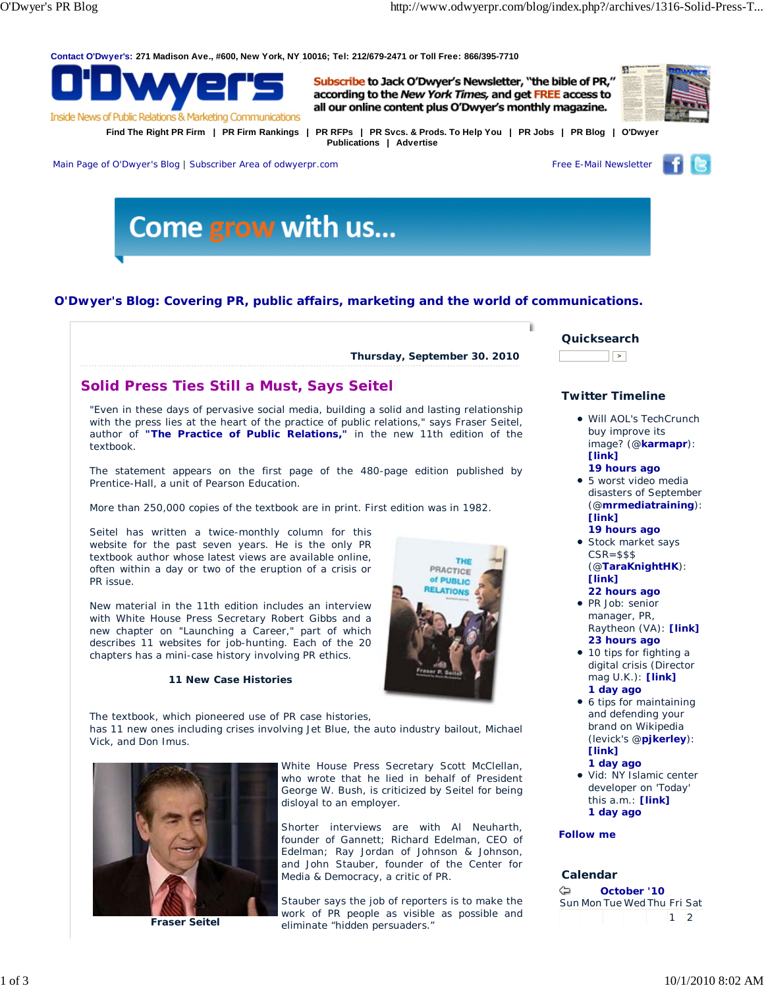**Contact O'Dwyer's: 271 Madison Ave., #600, New York, NY 10016; Tel: 212/679-2471 or Toll Free: 866/395-7710**



Subscribe to Jack O'Dwyer's Newsletter, "the bible of PR," according to the New York Times, and get FREE access to all our online content plus O'Dwyer's monthly magazine.



**Find The Right PR Firm | PR Firm Rankings | PR RFPs | PR Svcs. & Prods. To Help You | PR Jobs | PR Blog | O'Dwyer Publications | Advertise**



Main Page of O'Dwyer's Blog | Subscriber Area of odwyerpr.com Free E-Mail Newsletter



# **O'Dwyer's Blog: Covering PR, public affairs, marketing and the world of communications.**

**Thursday, September 30. 2010**

# **Solid Press Ties Still a Must, Says Seitel**

"Even in these days of pervasive social media, building a solid and lasting relationship with the press lies at the heart of the practice of public relations," says Fraser Seitel, author of **"The Practice of Public Relations,"** in the new 11th edition of the textbook.

The statement appears on the first page of the 480-page edition published by Prentice-Hall, a unit of Pearson Education.

More than 250,000 copies of the textbook are in print. First edition was in 1982.

Seitel has written a twice-monthly column for this website for the past seven years. He is the only PR textbook author whose latest views are available online, often within a day or two of the eruption of a crisis or PR issue.

New material in the 11th edition includes an interview with White House Press Secretary Robert Gibbs and a new chapter on "Launching a Career," part of which describes 11 websites for job-hunting. Each of the 20 chapters has a mini-case history involving PR ethics.

#### **11 New Case Histories**



The textbook, which pioneered use of PR case histories, has 11 new ones including crises involving Jet Blue, the auto industry bailout, Michael Vick, and Don Imus.



**Fraser Seitel**

White House Press Secretary Scott McClellan, who wrote that he lied in behalf of President George W. Bush, is criticized by Seitel for being disloyal to an employer.

Shorter interviews are with Al Neuharth, founder of Gannett; Richard Edelman, CEO of Edelman; Ray Jordan of Johnson & Johnson, and John Stauber, founder of the Center for Media & Democracy, a critic of PR.

Stauber says the job of reporters is to make the work of PR people as visible as possible and eliminate "hidden persuaders."



ï

## **Twitter Timeline**

- Will AOL's TechCrunch buy improve its image? (@**karmapr**): **[link]**
	- **19 hours ago**
- 5 worst video media disasters of September (@**mrmediatraining**): **[link] 19 hours ago**
- **Stock market says**  $CSR = $$ \$\$ (@**TaraKnightHK**): **[link]**
- **22 hours ago** • PR Job: senior manager, PR, Raytheon (VA): **[link] 23 hours ago**
- 10 tips for fighting a digital crisis (Director mag U.K.): **[link] 1 day ago**
- 6 tips for maintaining and defending your brand on Wikipedia (levick's @**pjkerley**): **[link]**
- **1 day ago** Vid: NY Islamic center developer on 'Today' this a.m.: **[link] 1 day ago**

#### **Follow me**

### **Calendar**

| ⇦ |  | October '10                 |             |  |
|---|--|-----------------------------|-------------|--|
|   |  | Sun Mon Tue Wed Thu Fri Sat |             |  |
|   |  |                             | $1 \quad 2$ |  |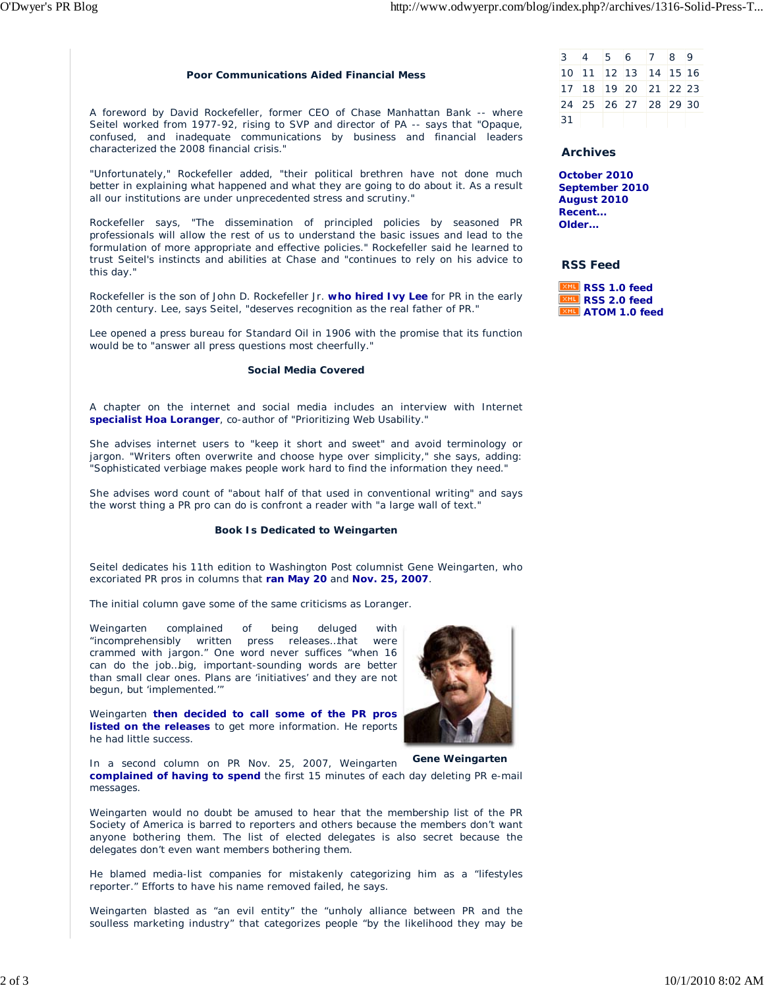#### **Poor Communications Aided Financial Mess**

A foreword by David Rockefeller, former CEO of Chase Manhattan Bank -- where Seitel worked from 1977-92, rising to SVP and director of PA -- says that "Opaque, confused, and inadequate communications by business and financial leaders characterized the 2008 financial crisis."

"Unfortunately," Rockefeller added, "their political brethren have not done much better in explaining what happened and what they are going to do about it. As a result all our institutions are under unprecedented stress and scrutiny."

Rockefeller says, "The dissemination of principled policies by seasoned PR professionals will allow the rest of us to understand the basic issues and lead to the formulation of more appropriate and effective policies." Rockefeller said he learned to trust Seitel's instincts and abilities at Chase and "continues to rely on his advice to this day."

Rockefeller is the son of John D. Rockefeller Jr. **who hired Ivy Lee** for PR in the early 20th century. Lee, says Seitel, "deserves recognition as the real father of PR."

Lee opened a press bureau for Standard Oil in 1906 with the promise that its function would be to "answer all press questions most cheerfully."

#### **Social Media Covered**

A chapter on the internet and social media includes an interview with Internet **specialist Hoa Loranger**, co-author of "Prioritizing Web Usability."

She advises internet users to "keep it short and sweet" and avoid terminology or jargon. "Writers often overwrite and choose hype over simplicity," she says, adding: "Sophisticated verbiage makes people work hard to find the information they need."

She advises word count of "about half of that used in conventional writing" and says the worst thing a PR pro can do is confront a reader with "a large wall of text."

#### **Book Is Dedicated to Weingarten**

Seitel dedicates his 11th edition to *Washington Post* columnist Gene Weingarten, who excoriated PR pros in columns that **ran May 20** and **Nov. 25, 2007**.

The initial column gave some of the same criticisms as Loranger.

Weingarten complained of being deluged with "incomprehensibly written press releases…that were crammed with jargon." One word never suffices "when 16 can do the job…big, important-sounding words are better than small clear ones. Plans are 'initiatives' and they are not begun, but 'implemented.'"

Weingarten **then decided to call some of the PR pros listed on the releases** to get more information. He reports he had little success.

In a second column on PR Nov. 25, 2007, Weingarten **complained of having to spend** the first 15 minutes of each day deleting PR e-mail messages.

Weingarten would no doubt be amused to hear that the membership list of the PR Society of America is barred to reporters and others because the members don't want anyone bothering them. The list of elected delegates is also secret because the delegates don't even want members bothering them.

He blamed media-list companies for mistakenly categorizing him as a "lifestyles reporter." Efforts to have his name removed failed, he says.

Weingarten blasted as "an evil entity" the "unholy alliance between PR and the soulless marketing industry" that categorizes people "by the likelihood they may be



#### **Archives**

**October 2010 September 2010 August 2010 Recent... Older...**

#### **RSS Feed**

**RSS 1.0 feed RSS 2.0 feed ATOM 1.0 feed**



**Gene Weingarten**